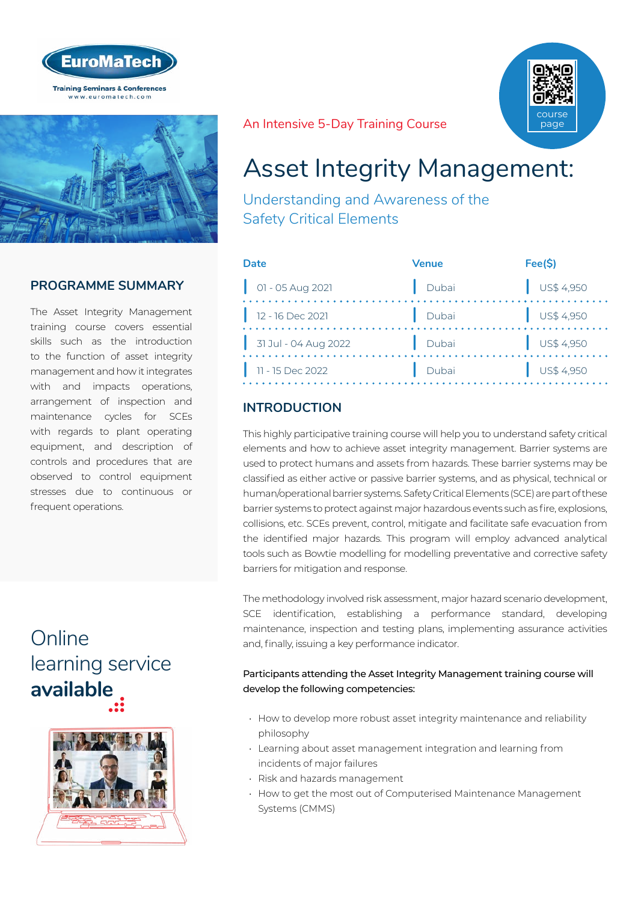



## **PROGRAMME SUMMARY**

The Asset Integrity Management training course covers essential skills such as the introduction to the function of asset integrity management and how it integrates with and impacts operations, arrangement of inspection and maintenance cycles for SCEs with regards to plant operating equipment, and description of controls and procedures that are observed to control equipment stresses due to continuous or frequent operations.

## **Online** [learning service](http://www.euromatech.com/seminars/safety-critical-elements-asset-integrity-management/)  **available**



An Intensive 5-Day Training Course



Understanding and Awareness of the Safety Critical Elements

| Date                       | Venue | Fee(S)                   |
|----------------------------|-------|--------------------------|
| $\bigcup$ 01 - 05 Aug 2021 | Dubai | $\bigcup$ US\$ 4,950     |
| $12 - 16$ Dec 2021         | Dubai | $\bigcup$ US\$ 4,950     |
| 31 Jul - 04 Aug 2022       | Dubai | $\frac{1}{2}$ US\$ 4,950 |
| 11 - 15 Dec 2022           | Dubai | $\bigcup$ US\$ 4,950     |

## **INTRODUCTION**

This highly participative training course will help you to understand safety critical elements and how to achieve asset integrity management. Barrier systems are used to protect humans and assets from hazards. These barrier systems may be classified as either active or passive barrier systems, and as physical, technical or human/operational barrier systems. Safety Critical Elements (SCE) are part of these barrier systems to protect against major hazardous events such as fire, explosions, collisions, etc. SCEs prevent, control, mitigate and facilitate safe evacuation from the identified major hazards. This program will employ advanced analytical tools such as Bowtie modelling for modelling preventative and corrective safety barriers for mitigation and response.

The methodology involved risk assessment, major hazard scenario development, SCE identification, establishing a performance standard, developing maintenance, inspection and testing plans, implementing assurance activities and, finally, issuing a key performance indicator.

#### Participants attending the Asset Integrity Management training course will develop the following competencies:

- How to develop more robust asset integrity maintenance and reliability philosophy
- Learning about asset management integration and learning from incidents of major failures
- Risk and hazards management
- How to get the most out of Computerised Maintenance Management Systems (CMMS)

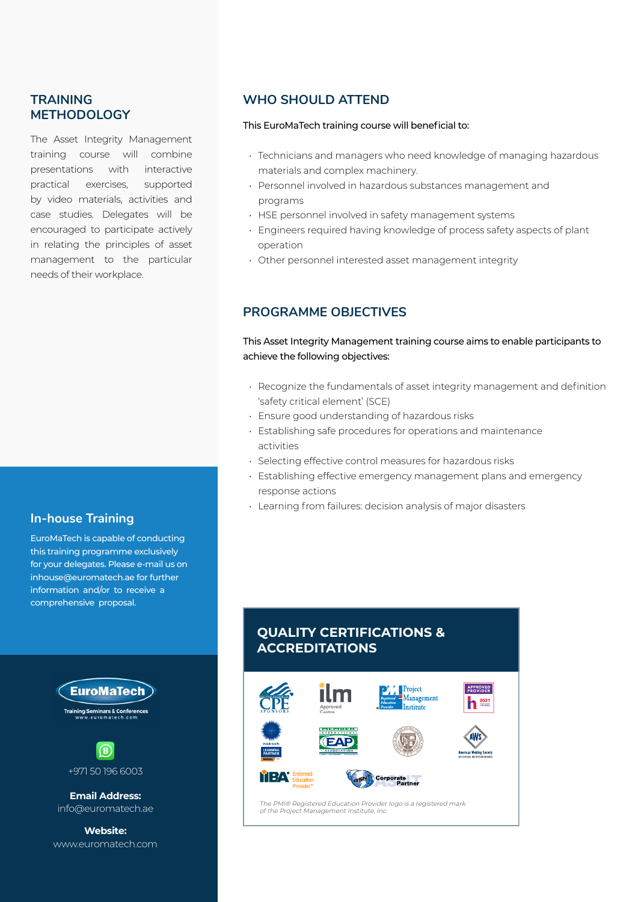### **TRAINING METHODOLOGY**

The Asset Integrity Management training course will combine presentations with interactive practical exercises, supported by video materials, activities and case studies. Delegates will be encouraged to participate actively in relating the principles of asset management to the particular needs of their workplace.

#### **In-house Training**

EuroMaTech is capable of conducting this training programme exclusively for your delegates. Please e-mail us on inhouse@euromatech.ae for further information and/or to receive a comprehensive proposal.





**Email Address:** info@euromatech.ae

**Website:** www.euromatech.com

#### **WHO SHOULD ATTEND**

#### This EuroMaTech training course will beneficial to:

- Technicians and managers who need knowledge of managing hazardous materials and complex machinery.
- Personnel involved in hazardous substances management and programs
- HSE personnel involved in safety management systems
- Engineers required having knowledge of process safety aspects of plant operation
- Other personnel interested asset management integrity

#### **PROGRAMME OBJECTIVES**

#### This Asset Integrity Management training course aims to enable participants to achieve the following objectives:

- Recognize the fundamentals of asset integrity management and definition 'safety critical element' (SCE)
- Ensure good understanding of hazardous risks
- Establishing safe procedures for operations and maintenance activities
- Selecting effective control measures for hazardous risks
- Establishing effective emergency management plans and emergency response actions
- Learning from failures: decision analysis of major disasters

## **QUALITY CERTIFICATIONS & ACCREDITATIONS**

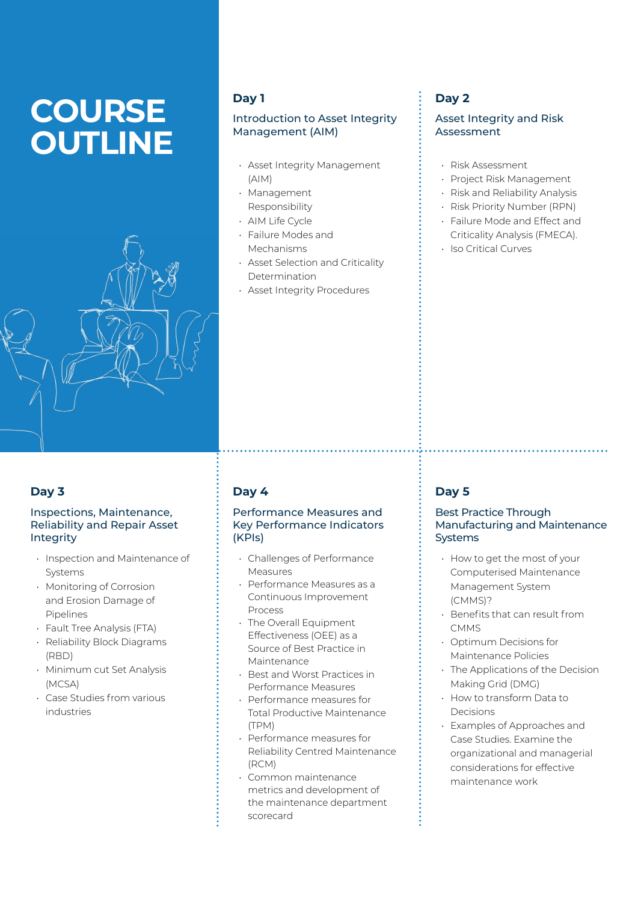# **COURSE OUTLINE**



### **Day 1**

#### Introduction to Asset Integrity Management (AIM)

- Asset Integrity Management (AIM)
- Management Responsibility
- AIM Life Cycle
- Failure Modes and Mechanisms
- Asset Selection and Criticality Determination
- Asset Integrity Procedures

## **Day 2**

#### Asset Integrity and Risk Assessment

- Risk Assessment
- Project Risk Management
- Risk and Reliability Analysis
- Risk Priority Number (RPN)
- Failure Mode and Effect and Criticality Analysis (FMECA).
- Iso Critical Curves

## **Day 3**

#### Inspections, Maintenance, Reliability and Repair Asset **Integrity**

- Inspection and Maintenance of Systems
- Monitoring of Corrosion and Erosion Damage of Pipelines
- Fault Tree Analysis (FTA)
- Reliability Block Diagrams (RBD)
- Minimum cut Set Analysis (MCSA)
- Case Studies from various industries

## **Day 4**

#### Performance Measures and Key Performance Indicators (KPIs)

- Challenges of Performance Measures
- Performance Measures as a Continuous Improvement Process
- The Overall Equipment Effectiveness (OEE) as a Source of Best Practice in Maintenance
- Best and Worst Practices in Performance Measures
- Performance measures for Total Productive Maintenance (TPM)
- Performance measures for Reliability Centred Maintenance (RCM)
- Common maintenance metrics and development of the maintenance department scorecard

## **Day 5**

#### Best Practice Through Manufacturing and Maintenance **Systems**

- How to get the most of your Computerised Maintenance Management System (CMMS)?
- Benefits that can result from **CMMS**
- Optimum Decisions for Maintenance Policies
- The Applications of the Decision Making Grid (DMG)
- How to transform Data to Decisions
- Examples of Approaches and Case Studies. Examine the organizational and managerial considerations for effective maintenance work